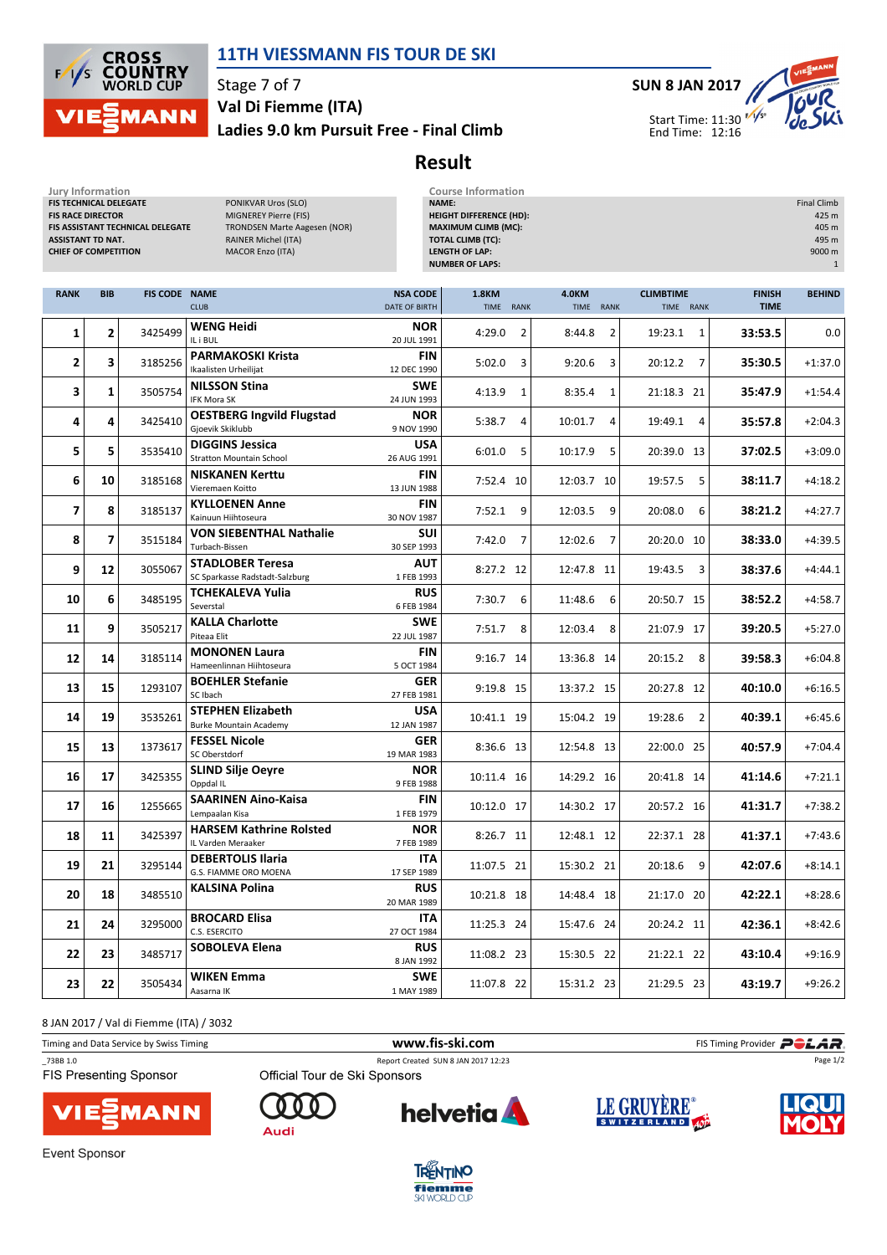

## 11TH VIESSMANN FIS TOUR DE SKI

Stage 7 of 7

#### Ladies 9.0 km Pursuit Free - Final Climb Val Di Fiemme (ITA)



# Result

| <b>Jury Information</b><br>FIS TECHNICAL DELEGATE<br><b>FIS RACE DIRECTOR</b><br><b>ASSISTANT TD NAT.</b><br><b>CHIEF OF COMPETITION</b> |                          | FIS ASSISTANT TECHNICAL DELEGATE | PONIKVAR Uros (SLO)<br>MIGNEREY Pierre (FIS)<br><b>TRONDSEN Marte Aagesen (NOR)</b><br>RAINER Michel (ITA)<br><b>MACOR Enzo (ITA)</b> |                                         | <b>Course Information</b><br>NAME:<br><b>HEIGHT DIFFERENCE (HD):</b><br><b>MAXIMUM CLIMB (MC):</b><br><b>TOTAL CLIMB (TC):</b><br><b>LENGTH OF LAP:</b><br><b>NUMBER OF LAPS:</b> |                           |                               |                              | <b>Final Climb</b><br>425 m<br>405 m<br>495 m<br>9000 m<br>$\mathbf{1}$ |
|------------------------------------------------------------------------------------------------------------------------------------------|--------------------------|----------------------------------|---------------------------------------------------------------------------------------------------------------------------------------|-----------------------------------------|-----------------------------------------------------------------------------------------------------------------------------------------------------------------------------------|---------------------------|-------------------------------|------------------------------|-------------------------------------------------------------------------|
| <b>RANK</b>                                                                                                                              | <b>BIB</b>               | <b>FIS CODE NAME</b>             | <b>CLUB</b>                                                                                                                           | <b>NSA CODE</b><br><b>DATE OF BIRTH</b> | 1.8KM<br><b>TIME</b><br>RANK                                                                                                                                                      | <b>4.0KM</b><br>TIME RANK | <b>CLIMBTIME</b><br>TIME RANK | <b>FINISH</b><br><b>TIME</b> | <b>BEHIND</b>                                                           |
| 1                                                                                                                                        | $\overline{2}$           | 3425499                          | <b>WENG Heidi</b><br>IL i BUL                                                                                                         | <b>NOR</b><br>20 JUL 1991               | 4:29.0<br>$\overline{2}$                                                                                                                                                          | 8:44.8<br>2               | 19:23.1<br>1                  | 33:53.5                      | 0.0                                                                     |
| 2                                                                                                                                        | 3                        | 3185256                          | <b>PARMAKOSKI Krista</b><br>Ikaalisten Urheilijat                                                                                     | <b>FIN</b><br>12 DEC 1990               | 5:02.0<br>3                                                                                                                                                                       | 9:20.6<br>3               | 20:12.2<br>7                  | 35:30.5                      | $+1:37.0$                                                               |
| 3                                                                                                                                        | 1                        | 3505754                          | <b>NILSSON Stina</b><br>IFK Mora SK                                                                                                   | <b>SWE</b><br>24 JUN 1993               | 4:13.9<br>$\mathbf{1}$                                                                                                                                                            | 8:35.4<br>1               | 21:18.3 21                    | 35:47.9                      | $+1:54.4$                                                               |
| 4                                                                                                                                        | 4                        | 3425410                          | <b>OESTBERG Ingvild Flugstad</b><br>Gjoevik Skiklubb                                                                                  | <b>NOR</b><br>9 NOV 1990                | 4<br>5:38.7                                                                                                                                                                       | 10:01.7<br>4              | 19:49.1<br>4                  | 35:57.8                      | $+2:04.3$                                                               |
| 5                                                                                                                                        | 5                        | 3535410                          | <b>DIGGINS Jessica</b><br><b>Stratton Mountain School</b>                                                                             | <b>USA</b><br>26 AUG 1991               | 6:01.0<br>5                                                                                                                                                                       | 5<br>10:17.9              | 20:39.0 13                    | 37:02.5                      | $+3:09.0$                                                               |
| 6                                                                                                                                        | 10                       | 3185168                          | <b>NISKANEN Kerttu</b><br>Vieremaen Koitto                                                                                            | <b>FIN</b><br>13 JUN 1988               | 7:52.4 10                                                                                                                                                                         | 12:03.7 10                | 19:57.5<br>5                  | 38:11.7                      | $+4:18.2$                                                               |
| $\overline{7}$                                                                                                                           | 8                        | 3185137                          | <b>KYLLOENEN Anne</b><br>Kainuun Hiihtoseura                                                                                          | <b>FIN</b><br>30 NOV 1987               | 7:52.1<br>9                                                                                                                                                                       | 12:03.5<br>9              | 20:08.0<br>6                  | 38:21.2                      | $+4:27.7$                                                               |
| 8                                                                                                                                        | $\overline{\phantom{a}}$ | 3515184                          | <b>VON SIEBENTHAL Nathalie</b><br>Turbach-Bissen                                                                                      | <b>SUI</b><br>30 SEP 1993               | 7:42.0<br>$\overline{7}$                                                                                                                                                          | 12:02.6<br>$\overline{7}$ | 20:20.0 10                    | 38:33.0                      | $+4:39.5$                                                               |
| 9                                                                                                                                        | 12                       | 3055067                          | <b>STADLOBER Teresa</b><br>SC Sparkasse Radstadt-Salzburg                                                                             | AUT<br>1 FEB 1993                       | 8:27.2 12                                                                                                                                                                         | 12:47.8 11                | 19:43.5<br>3                  | 38:37.6                      | $+4:44.1$                                                               |
| 10                                                                                                                                       | 6                        | 3485195                          | <b>TCHEKALEVA Yulia</b><br>Severstal                                                                                                  | <b>RUS</b><br>6 FEB 1984                | 7:30.7<br>6                                                                                                                                                                       | 11:48.6<br>6              | 20:50.7 15                    | 38:52.2                      | $+4:58.7$                                                               |
| 11                                                                                                                                       | 9                        | 3505217                          | <b>KALLA Charlotte</b><br>Piteaa Elit                                                                                                 | <b>SWE</b><br>22 JUL 1987               | 7:51.7<br>8                                                                                                                                                                       | 12:03.4<br>8              | 21:07.9 17                    | 39:20.5                      | $+5:27.0$                                                               |
| 12                                                                                                                                       | 14                       | 3185114                          | <b>MONONEN Laura</b><br>Hameenlinnan Hiihtoseura                                                                                      | <b>FIN</b><br>5 OCT 1984                | 9:16.7 14                                                                                                                                                                         | 13:36.8 14                | 20:15.2<br>8                  | 39:58.3                      | $+6:04.8$                                                               |
| 13                                                                                                                                       | 15                       | 1293107                          | <b>BOEHLER Stefanie</b><br>SC Ibach                                                                                                   | GER<br>27 FEB 1981                      | 9:19.8 15                                                                                                                                                                         | 13:37.2 15                | 20:27.8 12                    | 40:10.0                      | $+6:16.5$                                                               |
| 14                                                                                                                                       | 19                       | 3535261                          | <b>STEPHEN Elizabeth</b><br><b>Burke Mountain Academy</b>                                                                             | <b>USA</b><br>12 JAN 1987               | 10:41.1 19                                                                                                                                                                        | 15:04.2 19                | 19:28.6<br>2                  | 40:39.1                      | $+6:45.6$                                                               |
| 15                                                                                                                                       | 13                       | 1373617                          | <b>FESSEL Nicole</b><br>SC Oberstdorf                                                                                                 | GER<br>19 MAR 1983                      | 8:36.6 13                                                                                                                                                                         | 12:54.8 13                | 22:00.0 25                    | 40:57.9                      | $+7:04.4$                                                               |
| 16                                                                                                                                       | 17                       | 3425355                          | <b>SLIND Silje Oeyre</b><br>Oppdal IL                                                                                                 | <b>NOR</b><br>9 FEB 1988                | 10:11.4 16                                                                                                                                                                        | 14:29.2 16                | 20:41.8 14                    | 41:14.6                      | $+7:21.1$                                                               |
| 17                                                                                                                                       | 16                       | 1255665                          | <b>SAARINEN Aino-Kaisa</b><br>Lempaalan Kisa                                                                                          | <b>FIN</b><br>1 FEB 1979                | 10:12.0 17                                                                                                                                                                        | 14:30.2 17                | 20:57.2 16                    | 41:31.7                      | $+7:38.2$                                                               |
| 18                                                                                                                                       | 11                       | 3425397                          | <b>HARSEM Kathrine Rolsted</b><br>IL Varden Meraaker                                                                                  | <b>NOR</b><br>7 FEB 1989                | 8:26.7 11                                                                                                                                                                         | 12:48.1 12                | 22:37.1 28                    | 41:37.1                      | $+7:43.6$                                                               |
| 19                                                                                                                                       | 21                       | 3295144                          | <b>DEBERTOLIS Ilaria</b><br>G.S. FIAMME ORO MOENA                                                                                     | <b>ITA</b><br>17 SEP 1989               | 11:07.5 21                                                                                                                                                                        | 15:30.2 21                | 20:18.6 9                     | 42:07.6                      | $+8:14.1$                                                               |
| 20                                                                                                                                       | 18                       | 3485510                          | KALSINA Polina                                                                                                                        | <b>RUS</b><br>20 MAR 1989               | 10:21.8 18                                                                                                                                                                        | 14:48.4 18                | 21:17.0 20                    | 42:22.1                      | $+8:28.6$                                                               |
| 21                                                                                                                                       | 24                       | 3295000                          | <b>BROCARD Elisa</b><br>C.S. ESERCITO                                                                                                 | ITA<br>27 OCT 1984                      | 11:25.3 24                                                                                                                                                                        | 15:47.6 24                | 20:24.2 11                    | 42:36.1                      | $+8:42.6$                                                               |
| 22                                                                                                                                       | 23                       | 3485717                          | SOBOLEVA Elena                                                                                                                        | <b>RUS</b><br>8 JAN 1992                | 11:08.2 23                                                                                                                                                                        | 15:30.5 22                | 21:22.1 22                    | 43:10.4                      | $+9:16.9$                                                               |
| 23                                                                                                                                       | 22                       | 3505434                          | WIKEN Emma<br>Aasarna IK                                                                                                              | <b>SWE</b><br>1 MAY 1989                | 11:07.8 22                                                                                                                                                                        | 15:31.2 23                | 21:29.5 23                    | 43:19.7                      | $+9:26.2$                                                               |

8 JAN 2017 / Val di Fiemme (ITA) / 3032

| Timing and Data Service by Swiss Timing    |                               | www.fis-ski.com                     |                    | FIS Timing Provider <b>POLAR</b> |
|--------------------------------------------|-------------------------------|-------------------------------------|--------------------|----------------------------------|
| _73BB 1.0<br><b>FIS Presenting Sponsor</b> | Official Tour de Ski Sponsors | Report Created SUN 8 JAN 2017 12:23 |                    | Page 1/2                         |
| <b>VIE<sup>S</sup>MANN</b>                 |                               | helvetia A                          | <b>LE GRUYÈRE®</b> |                                  |



**Audi** 







Event Sponsor